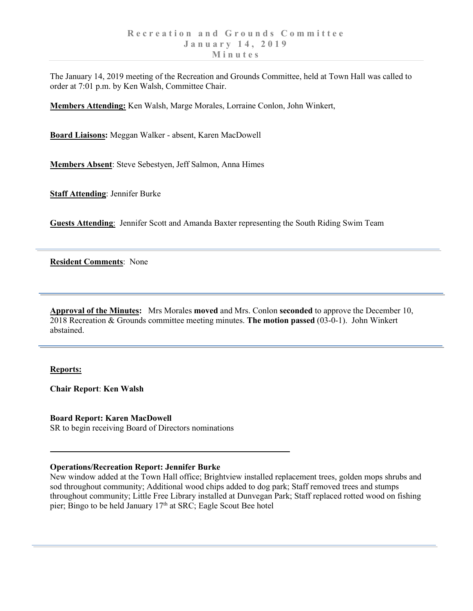The January 14, 2019 meeting of the Recreation and Grounds Committee, held at Town Hall was called to order at 7:01 p.m. by Ken Walsh, Committee Chair.

**Members Attending:** Ken Walsh, Marge Morales, Lorraine Conlon, John Winkert,

**Board Liaisons:** Meggan Walker - absent, Karen MacDowell

**Members Absent**: Steve Sebestyen, Jeff Salmon, Anna Himes

**Staff Attending**: Jennifer Burke

**Guests Attending**: Jennifer Scott and Amanda Baxter representing the South Riding Swim Team

**Resident Comments**: None

**Approval of the Minutes:** Mrs Morales **moved** and Mrs. Conlon **seconded** to approve the December 10, 2018 Recreation & Grounds committee meeting minutes. **The motion passed** (03-0-1). John Winkert abstained.

## **Reports:**

**Chair Report**: **Ken Walsh**

**Board Report: Karen MacDowell**

SR to begin receiving Board of Directors nominations

## **Operations/Recreation Report: Jennifer Burke**

New window added at the Town Hall office; Brightview installed replacement trees, golden mops shrubs and sod throughout community; Additional wood chips added to dog park; Staff removed trees and stumps throughout community; Little Free Library installed at Dunvegan Park; Staff replaced rotted wood on fishing pier; Bingo to be held January 17<sup>th</sup> at SRC; Eagle Scout Bee hotel